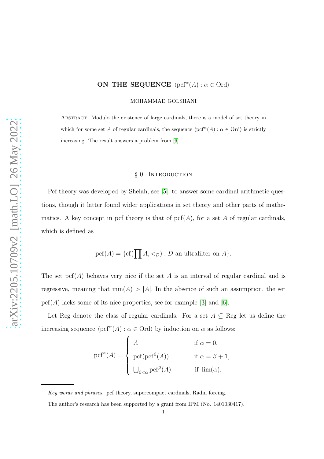# ON THE SEQUENCE  $\langle \text{pcf}^{\alpha}(A) : \alpha \in \text{Ord}\rangle$

MOHAMMAD GOLSHANI

Abstract. Modulo the existence of large cardinals, there is a model of set theory in which for some set A of regular cardinals, the sequence  $\langle \text{pcf}^\alpha(A) : \alpha \in \text{Ord}\rangle$  is strictly increasing. The result answers a problem from [\[6\]](#page-6-0).

### § 0. INTRODUCTION

Pcf theory was developed by Shelah, see [\[5\]](#page-6-1), to answer some cardinal arithmetic questions, though it latter found wider applications in set theory and other parts of mathematics. A key concept in pcf theory is that of  $\text{pcf}(A)$ , for a set A of regular cardinals. which is defined as

 $\text{pcf}(A)=\{\text{cf}(\prod A,<_D): D \text{ an ultrafilter on } A\}.$ 

The set  $\text{pcf}(A)$  behaves very nice if the set A is an interval of regular cardinal and is regressive, meaning that  $\min(A) > |A|$ . In the absence of such an assumption, the set  $\text{pcf}(A)$  lacks some of its nice properties, see for example [\[3\]](#page-6-2) and [\[6\]](#page-6-0).

Let Reg denote the class of regular cardinals. For a set  $A \subseteq \text{Reg}$  let us define the increasing sequence  $\langle \text{pcf}^{\alpha}(A) : \alpha \in \text{Ord} \rangle$  by induction on  $\alpha$  as follows:

$$
\text{pcf}^{\alpha}(A) = \begin{cases} A & \text{if } \alpha = 0, \\ \text{pcf}(\text{pcf}^{\beta}(A)) & \text{if } \alpha = \beta + 1, \\ \bigcup_{\beta < \alpha} \text{pcf}^{\beta}(A) & \text{if } \lim(\alpha). \end{cases}
$$

Key words and phrases. pcf theory, supercompact cardinals, Radin forcing.

The author's research has been supported by a grant from IPM (No. 1401030417).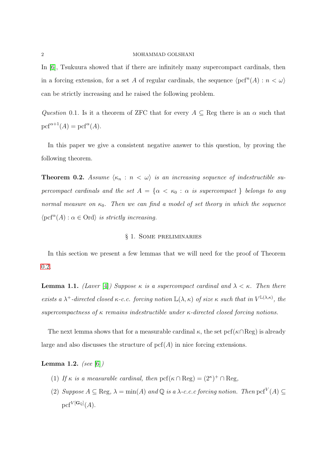#### 2 MOHAMMAD GOLSHANI

In [\[6\]](#page-6-0), Tsukuura showed that if there are infinitely many supercompact cardinals, then in a forcing extension, for a set A of regular cardinals, the sequence  $\langle \text{pcf}^n(A) : n < \omega \rangle$ can be strictly increasing and he raised the following problem.

Question 0.1. Is it a theorem of ZFC that for every  $A \subseteq \text{Reg}$  there is an  $\alpha$  such that  $\text{pcf}^{\alpha+1}(A)=\text{pcf}^{\alpha}(A).$ 

In this paper we give a consistent negative answer to this question, by proving the following theorem.

<span id="page-1-0"></span>**Theorem 0.2.** Assume  $\langle \kappa_n : n \langle \omega \rangle$  is an increasing sequence of indestructible supercompact cardinals and the set  $A = \{ \alpha < \kappa_0 : \alpha \text{ is supercompact } \}$  belongs to any normal measure on  $\kappa_0$ . Then we can find a model of set theory in which the sequence  $\langle \text{pcf}^{\alpha}(A): \alpha \in \text{Ord} \rangle$  is strictly increasing.

## § 1. Some preliminaries

In this section we present a few lemmas that we will need for the proof of Theorem [0.2.](#page-1-0)

<span id="page-1-1"></span>**Lemma 1.1.** (Laver [\[4\]](#page-6-3)) Suppose  $\kappa$  is a supercompact cardinal and  $\lambda < \kappa$ . Then there exists a  $\lambda^+$ -directed closed  $\kappa$ -c.c. forcing notion  $\mathbb{L}(\lambda,\kappa)$  of size  $\kappa$  such that in  $V^{\mathbb{L}(\lambda,\kappa)}$ , the supercompactness of  $\kappa$  remains indestructible under  $\kappa$ -directed closed forcing notions.

The next lemma shows that for a measurable cardinal  $\kappa$ , the set pcf( $\kappa \cap \text{Reg}$ ) is already large and also discusses the structure of  $\text{pcf}(A)$  in nice forcing extensions.

<span id="page-1-2"></span>**Lemma 1.2.** (see [\[6\]](#page-6-0))

- (1) If  $\kappa$  is a measurable cardinal, then  $\text{pcf}(\kappa \cap \text{Reg}) = (2^{\kappa})^+ \cap \text{Reg}$ ,
- (2) Suppose  $A \subseteq \text{Reg}, \lambda = \min(A)$  and  $\mathbb Q$  is a  $\lambda$ -c.c.c forcing notion. Then  $\text{pcf}^V(A) \subseteq$  ${\rm pcf}^{V[{\bf G}_\mathbb{Q}]}(A).$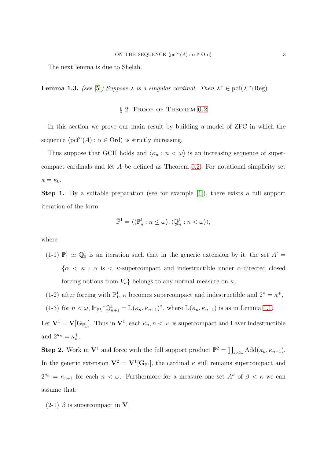The next lemma is due to Shelah.

**Lemma 1.3.** (see [\[5\]](#page-6-1)) Suppose  $\lambda$  is a singular cardinal. Then  $\lambda^+ \in \text{pcf}(\lambda \cap \text{Reg})$ .

### § 2. PROOF OF THEOREM [0.2](#page-1-0)

In this section we prove our main result by building a model of ZFC in which the sequence  $\langle \text{pcf}^{\alpha}(A) : \alpha \in \text{Ord} \rangle$  is strictly increasing.

Thus suppose that GCH holds and  $\langle \kappa_n : n < \omega \rangle$  is an increasing sequence of supercompact cardinals and let A be defined as Theorem [0.2.](#page-1-0) For notational simplicity set  $\kappa = \kappa_0$ .

Step 1. By a suitable preparation (see for example [\[1\]](#page-6-4)), there exists a full support iteration of the form

$$
\bar{\mathbb{P}}^1 = \langle \langle \mathbb{P}_n^1 : n \le \omega \rangle, \langle \mathbb{Q}_n^1 : n < \omega \rangle \rangle,
$$

where

- (1-1)  $\mathbb{P}^1_1 \simeq \mathbb{Q}^1_0$  is an iteration such that in the generic extension by it, the set  $A' =$  ${\alpha \lt \kappa : \alpha \text{ is } \lt \kappa\text{-supercompact and indestructible under }\alpha\text{-directed closed}}$ forcing notions from  $V_{\kappa}$  belongs to any normal measure on  $\kappa$ ,
- (1-2) after forcing with  $\mathbb{P}^1_1$ ,  $\kappa$  becomes supercompact and indestructible and  $2^{\kappa} = \kappa^+$ ,
- (1-3) for  $n < \omega$ ,  $\Vdash_{\mathbb{P}^1_n}$  "Q  $\tilde{\phantom{a}}$  $_{n+1}^1 = \mathbb{L}(\kappa_n, \kappa_{n+1})$ ", where  $\mathbb{L}(\kappa_n, \kappa_{n+1})$  is as in Lemma [1.1.](#page-1-1)

Let  $V^1 = V[G_{\mathbb{P}^1_\omega}]$ . Thus in  $V^1$ , each  $\kappa_n, n < \omega$ , is supercompact and Laver indestructible and  $2^{\kappa_n} = \kappa_n^+$ .

**Step 2.** Work in  $V^1$  and force with the full support product  $\mathbb{P}^2 = \prod_{n<\omega} \text{Add}(\kappa_n, \kappa_{n+1}).$ In the generic extension  $V^2 = V^1[G_{\mathbb{P}^1}]$ , the cardinal  $\kappa$  still remains supercompact and  $2^{\kappa_n} = \kappa_{n+1}$  for each  $n < \omega$ . Furthermore for a measure one set  $A''$  of  $\beta < \kappa$  we can assume that:

(2-1)  $\beta$  is supercompact in **V**,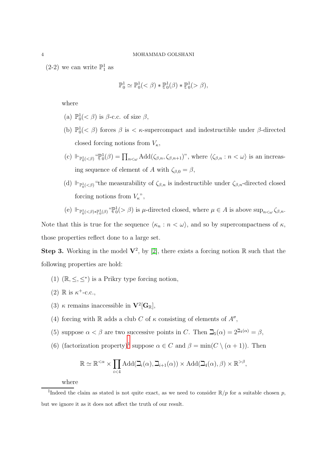(2-2) we can write  $\mathbb{P}^1_1$  as

$$
\mathbb{P}_0^1 \simeq \mathbb{P}_0^1(<\beta) * \mathbb{P}_0^1(\beta) * \mathbb{P}_0^1(>\beta),
$$

where

- (a)  $\mathbb{P}^1_0 \left( \langle \beta \rangle \right)$  is  $\beta$ -c.c. of size  $\beta$ ,
- (b)  $\mathbb{P}^1_0 \left( \langle \xi \rangle \right)$  forces  $\beta$  is  $\langle \xi \rangle$  supercompact and indestructible under  $\beta$ -directed closed forcing notions from  $V_{\kappa}$ ,
- (c)  $\Vdash_{\mathbb{P}^1_0(<\beta)} \text{``}\mathbb{P}$  $\prod_{n<\omega} \text{Add}(\zeta_{\beta,n},\zeta_{\beta,n+1})$ ", where  $\langle \zeta_{\beta,n} : n < \omega \rangle$  is an increasing sequence of element of A with  $\zeta_{\beta,0} = \beta$ ,
- (d)  $\Vdash_{\mathbb{P}^1_0(\leq\beta)}$  "the measurability of  $\zeta_{\beta,n}$  is indestructible under  $\zeta_{\beta,n}$ -directed closed forcing notions from  $V_{\kappa}$ ",

(e) 
$$
\Vdash_{\mathbb{P}_0^1(\langle\beta\rangle*\mathbb{P}_0^1(\beta)} \mathbb{P}_0^1(\rangle \langle \beta \rangle)
$$
 is  $\mu$ -directed closed, where  $\mu \in A$  is above sup <sub>$n \leq \omega$</sub>   $\zeta_{\beta,n}$ .

Note that this is true for the sequence  $\langle \kappa_n : n < \omega \rangle$ , and so by supercompactness of  $\kappa$ , those properties reflect done to a large set.

**Step 3.** Working in the model  $V^2$ , by [\[2\]](#page-6-5), there exists a forcing notion R such that the following properties are hold:

- (1)  $(\mathbb{R}, \leq, \leq^*)$  is a Prikry type forcing notion,
- (2)  $\mathbb R$  is  $\kappa^+$ -c.c.,
- (3)  $\kappa$  remains inaccessible in  $\mathbf{V}^2[\mathbf{G}_{\mathbb{R}}],$
- (4) forcing with  $\mathbb R$  adds a club C of  $\kappa$  consisting of elements of  $A''$ ,
- (5) suppose  $\alpha < \beta$  are two successive points in C. Then  $\mathcal{L}_5(\alpha) = 2^{\mathcal{L}_4(\alpha)} = \beta$ ,
- (6) (factorization property)<sup>[1](#page-3-0)</sup> suppose  $\alpha \in C$  and  $\beta = \min(C \setminus (\alpha + 1))$ . Then

$$
\mathbb{R} \simeq \mathbb{R}^{<\alpha} \times \prod_{i<4} \text{Add}(\beth_i(\alpha), \beth_{i+1}(\alpha)) \times \text{Add}(\beth_4(\alpha), \beta) \times \mathbb{R}^{>\beta},
$$

where

<span id="page-3-0"></span><sup>&</sup>lt;sup>1</sup>Indeed the claim as stated is not quite exact, as we need to consider  $\mathbb{R}/p$  for a suitable chosen p, but we ignore it as it does not affect the truth of our result.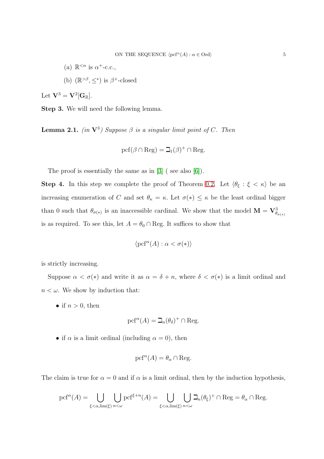(a)  $\mathbb{R}^{\leq \alpha}$  is  $\alpha^{+}$ -c.c., (b)  $(\mathbb{R}^{>\beta}, \leq^*)$  is  $\beta^+$ -closed

Let  $\mathbf{V}^3 = \mathbf{V}^2[\mathbf{G}_{\mathbb{R}}].$ 

Step 3. We will need the following lemma.

<span id="page-4-0"></span>**Lemma 2.1.** (in  $V^3$ ) Suppose  $\beta$  is a singular limit point of C. Then

$$
\operatorname{pcf}(\beta\cap\operatorname{Reg})=\beth_1(\beta)^+\cap\operatorname{Reg}.
$$

The proof is essentially the same as in [\[3\]](#page-6-2) (see also [\[6\]](#page-6-0)).

**Step 4.** In this step we complete the proof of Theorem [0.2.](#page-1-0) Let  $\langle \theta_{\xi} : \xi \langle \kappa \rangle$  be an increasing enumeration of C and set  $\theta_{\kappa} = \kappa$ . Let  $\sigma(*) \leq \kappa$  be the least ordinal bigger than 0 such that  $\theta_{\sigma(*)}$  is an inaccessible cardinal. We show that the model  $\mathbf{M} = \mathbf{V}_{\theta_{\sigma(*)}}^3$ is as required. To see this, let  $A=\theta_0\cap\text{Reg.}$  It suffices to show that

$$
\langle \operatorname{pcf}^\alpha(A):\alpha<\sigma(*)\rangle
$$

is strictly increasing.

Suppose  $\alpha < \sigma(*)$  and write it as  $\alpha = \delta + n$ , where  $\delta < \sigma(*)$  is a limit ordinal and  $n < \omega$ . We show by induction that:

• if  $n > 0$ , then

$$
\operatorname{pcf}^{\alpha}(A)=\beth_n(\theta_\delta)^+\cap\operatorname{Reg}.
$$

• if  $\alpha$  is a limit ordinal (including  $\alpha = 0$ ), then

$$
\operatorname{pcf}^\alpha(A)=\theta_\alpha\cap\operatorname{Reg}.
$$

The claim is true for  $\alpha = 0$  and if  $\alpha$  is a limit ordinal, then by the induction hypothesis,

$$
\mathrm{pcf}^{\alpha}(A)=\bigcup_{\xi<\alpha,\lim(\xi)}\bigcup_{n<\omega}\mathrm{pcf}^{\xi+n}(A)=\bigcup_{\xi<\alpha,\lim(\xi)}\bigcup_{n<\omega}\beth_n(\theta_{\xi})^+\cap\mathrm{Reg}=\theta_{\alpha}\cap\mathrm{Reg}.
$$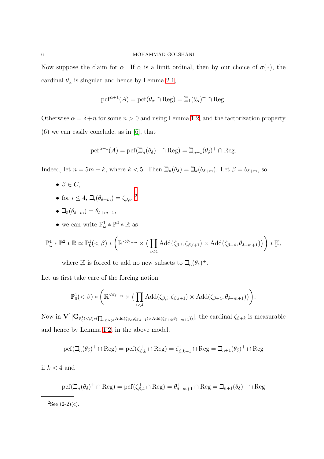Now suppose the claim for  $\alpha$ . If  $\alpha$  is a limit ordinal, then by our choice of  $\sigma(*)$ , the cardinal  $\theta_{\alpha}$  is singular and hence by Lemma [2.1,](#page-4-0)

$$
\operatorname{pcf}^{\alpha+1}(A)=\operatorname{pcf}(\theta_\alpha\cap\operatorname{Reg})=\beth_1(\theta_\alpha)^+\cap\operatorname{Reg}.
$$

Otherwise  $\alpha = \delta + n$  for some  $n > 0$  and using Lemma [1.2,](#page-1-2) and the factorization property (6) we can easily conclude, as in [\[6\]](#page-6-0), that

$$
\operatorname{pcf}^{\alpha+1}(A)=\operatorname{pcf}(\beth_n(\theta_\delta)^+\cap\operatorname{Reg})=\beth_{n+1}(\theta_\delta)^+\cap\operatorname{Reg}.
$$

Indeed, let  $n = 5m + k$ , where  $k < 5$ . Then  $\mathcal{L}_n(\theta_\delta) = \mathcal{L}_k(\theta_{\delta+m})$ . Let  $\beta = \theta_{\delta+m}$ , so

- $\bullet \ \beta \in C$ ,
- for  $i \leq 4$ ,  $\Box_i(\theta_{\delta+m}) = \zeta_{\beta,i}$ , <sup>[2](#page-5-0)</sup>
- $\beth_5(\theta_{\delta+m}) = \theta_{\delta+m+1},$
- we can write  $\mathbb{P}^1_{\omega} * \mathbb{P}^2 * \mathbb{R}$  as

$$
\mathbb{P}^1_{\omega} * \mathbb{P}^2 * \mathbb{R} \simeq \mathbb{P}^1_0( < \beta) * \left( \mathbb{R}^{< \theta_{\delta+m}} \times \left( \prod_{i < 4} \text{Add}(\zeta_{\beta,i}, \zeta_{\beta,i+1}) \times \text{Add}(\zeta_{\beta+4}, \theta_{\delta+m+1}) \right) \right) * \mathbb{K},
$$

where  $\mathbb{K}$  $\tilde{\phantom{a}}$ is forced to add no new subsets to  $\mathcal{I}_n(\theta_\delta)^+$ .

Let us first take care of the forcing notion

$$
\mathbb{P}_0^1(<\beta)*\bigg(\mathbb{R}^{<\theta_{\delta+m}}\times\big(\prod_{i<4}\text{Add}(\zeta_{\beta,i},\zeta_{\beta,i+1})\times\text{Add}(\zeta_{\beta+4},\theta_{\delta+m+1})\big)\bigg).
$$

Now in  $V^1[G_{\mathbb{P}_0^1(\langle\beta\rangle*\left(\prod_{k\leq i\leq 4}\text{Add}(\zeta_{\beta,i},\zeta_{\beta,i+1})\times \text{Add}(\zeta_{\beta+4},\theta_{\delta+m+1})\right)},$  the cardinal  $\zeta_{\beta+k}$  is measurable and hence by Lemma [1.2,](#page-1-2) in the above model,

$$
\mathrm{pcf}(\beth_n(\theta_\delta)^+\cap\mathrm{Reg})=\mathrm{pcf}(\zeta_{\beta,k}^+\cap\mathrm{Reg})=\zeta_{\beta,k+1}^+\cap\mathrm{Reg}=\beth_{n+1}(\theta_\delta)^+\cap\mathrm{Reg}
$$

if  $k < 4$  and

$$
\mathrm{pcf}(\beth_n(\theta_\delta)^+\cap\mathrm{Reg})=\mathrm{pcf}(\zeta_{\beta,4}^+\cap\mathrm{Reg})=\theta_{\delta+m+1}^+\cap\mathrm{Reg}=\beth_{n+1}(\theta_\delta)^+\cap\mathrm{Reg}
$$

<span id="page-5-0"></span> ${}^{2}$ See  $(2-2)(c)$ .